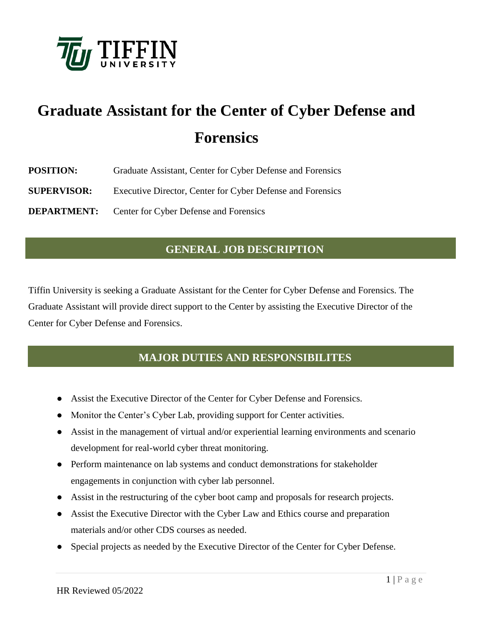

# **Graduate Assistant for the Center of Cyber Defense and Forensics**

| <b>POSITION:</b>   | Graduate Assistant, Center for Cyber Defense and Forensics |
|--------------------|------------------------------------------------------------|
| <b>SUPERVISOR:</b> | Executive Director, Center for Cyber Defense and Forensics |
| <b>DEPARTMENT:</b> | Center for Cyber Defense and Forensics                     |

## **GENERAL JOB DESCRIPTION**

Tiffin University is seeking a Graduate Assistant for the Center for Cyber Defense and Forensics. The Graduate Assistant will provide direct support to the Center by assisting the Executive Director of the Center for Cyber Defense and Forensics.

#### **MAJOR DUTIES AND RESPONSIBILITES**

- Assist the Executive Director of the Center for Cyber Defense and Forensics.
- Monitor the Center's Cyber Lab, providing support for Center activities.
- Assist in the management of virtual and/or experiential learning environments and scenario development for real-world cyber threat monitoring.
- Perform maintenance on lab systems and conduct demonstrations for stakeholder engagements in conjunction with cyber lab personnel.
- Assist in the restructuring of the cyber boot camp and proposals for research projects.
- Assist the Executive Director with the Cyber Law and Ethics course and preparation materials and/or other CDS courses as needed.
- Special projects as needed by the Executive Director of the Center for Cyber Defense.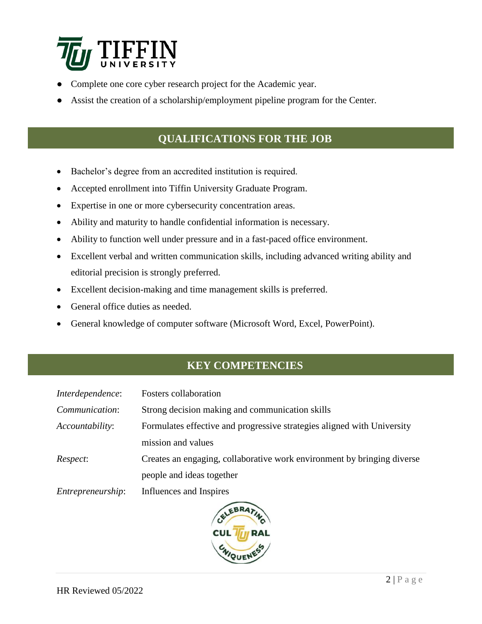

- Complete one core cyber research project for the Academic year.
- Assist the creation of a scholarship/employment pipeline program for the Center.

### **QUALIFICATIONS FOR THE JOB**

- Bachelor's degree from an accredited institution is required.
- Accepted enrollment into Tiffin University Graduate Program.
- Expertise in one or more cybersecurity concentration areas.
- Ability and maturity to handle confidential information is necessary.
- Ability to function well under pressure and in a fast-paced office environment.
- Excellent verbal and written communication skills, including advanced writing ability and editorial precision is strongly preferred.
- Excellent decision-making and time management skills is preferred.
- General office duties as needed.
- General knowledge of computer software (Microsoft Word, Excel, PowerPoint).

## **KEY COMPETENCIES**

| Interdependence:      | <b>Fosters collaboration</b>                                            |
|-----------------------|-------------------------------------------------------------------------|
| <i>Communication:</i> | Strong decision making and communication skills                         |
| Accountability:       | Formulates effective and progressive strategies aligned with University |
|                       | mission and values                                                      |
| Respect:              | Creates an engaging, collaborative work environment by bringing diverse |
|                       | people and ideas together                                               |
| Entrepreneurship:     | Influences and Inspires                                                 |
|                       |                                                                         |